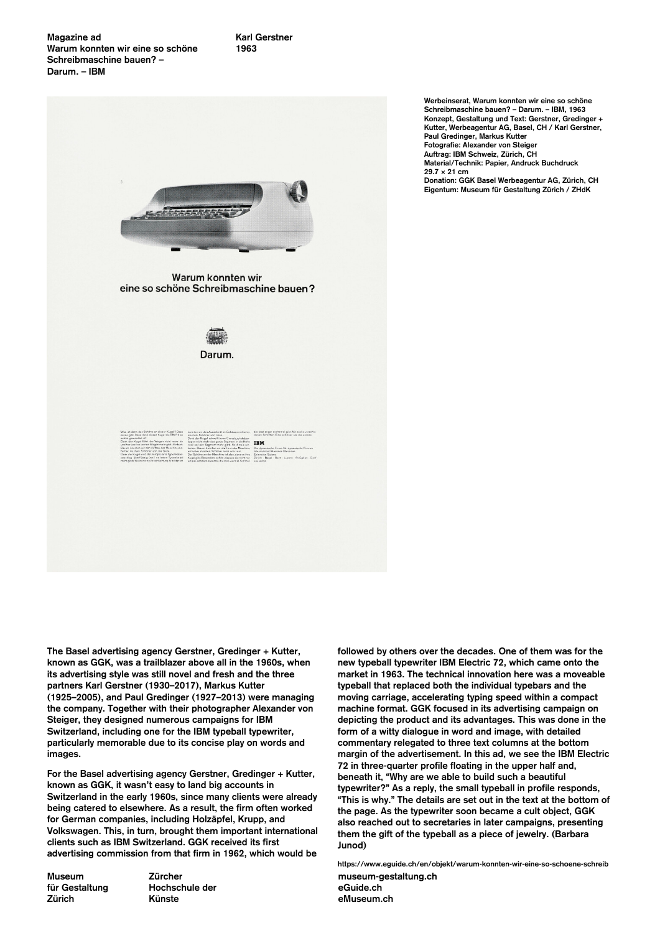**IBM** 



**The Basel advertising agency Gerstner, Gredinger + Kutter, known as GGK, was a trailblazer above all in the 1960s, when its advertising style was still novel and fresh and the three partners Karl Gerstner (1930–2017), Markus Kutter (1925–2005), and Paul Gredinger (1927–2013) were managing the company. Together with their photographer Alexander von Steiger, they designed numerous campaigns for IBM Switzerland, including one for the IBM typeball typewriter, particularly memorable due to its concise play on words and images.**

**For the Basel advertising agency Gerstner, Gredinger + Kutter, known as GGK, it wasn't easy to land big accounts in Switzerland in the early 1960s, since many clients were already being catered to elsewhere. As a result, the firm often worked for German companies, including Holzäpfel, Krupp, and Volkswagen. This, in turn, brought them important international clients such as IBM Switzerland. GGK received its first advertising commission from that firm in 1962, which would be**

**Museum für Gestaltung Zürich**

**Zürcher Hochschule der Künste**

**Werbeinserat, Warum konnten wir eine so schöne Schreibmaschine bauen? – Darum. – IBM, 1963 Konzept, Gestaltung und Text: Gerstner, Gredinger + Kutter, Werbeagentur AG, Basel, CH / Karl Gerstner, Paul Gredinger, Markus Kutter Fotografie: Alexander von Steiger Auftrag: IBM Schweiz, Zürich, CH Material/Technik: Papier, Andruck Buchdruck 29.7 × 21 cm Donation: GGK Basel Werbeagentur AG, Zürich, CH Eigentum: Museum für Gestaltung Zürich / ZHdK**

**followed by others over the decades. One of them was for the new typeball typewriter IBM Electric 72, which came onto the market in 1963. The technical innovation here was a moveable typeball that replaced both the individual typebars and the moving carriage, accelerating typing speed within a compact machine format. GGK focused in its advertising campaign on depicting the product and its advantages. This was done in the form of a witty dialogue in word and image, with detailed commentary relegated to three text columns at the bottom margin of the advertisement. In this ad, we see the IBM Electric 72 in three-quarter profile floating in the upper half and, beneath it, "Why are we able to build such a beautiful typewriter?" As a reply, the small typeball in profile responds, "This is why." The details are set out in the text at the bottom of the page. As the typewriter soon became a cult object, GGK also reached out to secretaries in later campaigns, presenting them the gift of the typeball as a piece of jewelry. (Barbara Junod)**

**museum-gestaltung.ch eGuide.ch eMuseum.ch https://www.eguide.ch/en/objekt/warum-konnten-wir-eine-so-schoene-schreib**